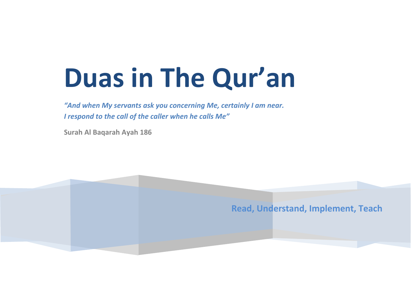# **Duas in The Qur'an**

*"And when My servants ask you concerning Me, certainly I am near. I respond to the call of the caller when he calls Me"*

**Surah Al Baqarah Ayah 186**

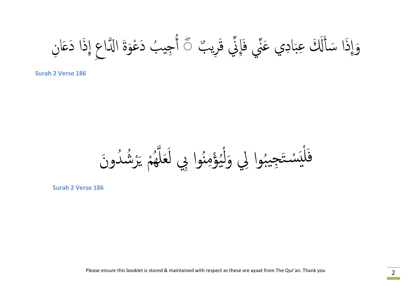وَإِذَا سَأَلَكَ عِبَادِي عَنِّي فَإِنِّي قَرِيبٌ عَ أُجِيبُ دَعْوَةَ الدَّاعِ إِذَا دَعَانِ ا<br>ا ҩ ֚֚<br>֚<br>֚֝֟֩ ا<br>ا ُ م<br>أ

**Surah 2 Verse 186**

֦֧֖֧֖֧֟֟֟֟֟֟֟֟֟֓֝֟֟֓֝֬֟֩֓֟֟֩֓<u>֟</u> فَلْبَسْتَجِيبُوا لِي وَلْيُؤْمِنُوا بِي لَعَلَّهُمْ يَرْشُدُونَ ؚ<br>ؚ<br>ؘ نه<br>هم ِ<br>ا ِّ ِ ل<br>معرض ֖֧֡֟֟֟֟֟֟֟֟֟֟֟֟֟֟֟֟֟֟֟֟֟֟֟<sup>֟</sup> ُ ֦֧֧֟֟֓<u>֚</u>  $\int\limits_{0}^{2}$ ُّ ِ ُ<br>ا ه<br>(  $\frac{1}{2}$ 

**Surah 2 Verse 186**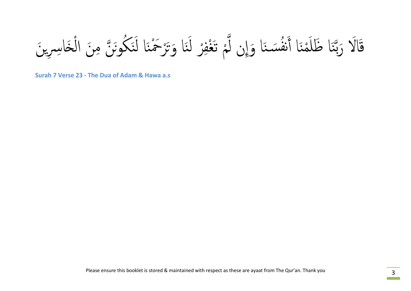الَا رَبَّنَا ظَلَمْنَا أَنفُسَنَا وَإِن لَّمْ تَغْفِرْ لَنَا وَتَرْحَمْنَا لَنَكُونَنَّ مِنَ الْخَاسِرِينَ ٔ<br>ٔ ن َ ه<br>( ن<br>م َ ا<br>ا ِ ҧ ا<br>المسابق .<br>ر ِ<br>ا ن<br>م ҧ بہ<br>و

**Surah 7 Verse 23 - The Dua of Adam & Hawa a.s**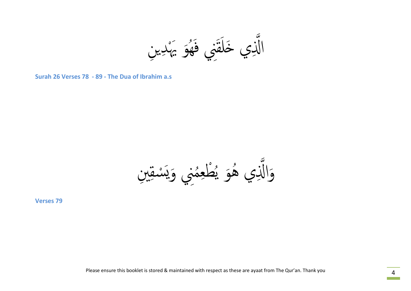الَّذِي خَلَقَنِي فَهُوَ يَهْدِينِ َه<br>كا ֚֝<br>֧֚֝<br>֧֚֚֚֚֚֝֝֝ ن<br>قم ֧֧֖֧֦֧֚֚֝֝<u>֚</u><br>֧֚֝

**Surah 26 Verses 78 - 89 - The Dua of Ibrahim a.s** 

وَالَّذِي هُوَ يُطْعِمُنِي وَيَسْقِينِ<br>Verses 79 ِّ بِهِ مَا **\\_** ُ ِّ بِمَا أَيُّ بِمَا يَسْتَقِيلُ بِمَا يَسْتَقِيلُ بِمَا يَسْتَقِيلُ بِمَا يَسْتَقِيلُ بِمَا يَسْتَقِيلُ بِمَا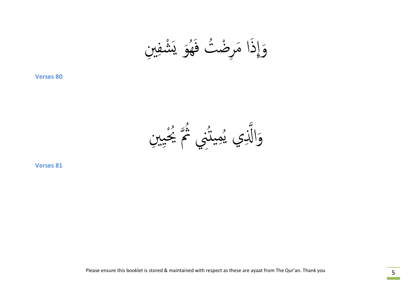وَإِذَا مَرِضْتُ فَهُوَ يَشْفِينِ<br>verses 80 َه<br>كا ُّبُّبِّ أَنْهَامُ أَنْهَامُ أَيُّ أَيُّ أَيُّ أَيُّ أَيُّ أَيُّ أَيُّ أَيُّ أَيُّ أَيُّ أَيُّ أَيُّ<br>أَيُّ أَيُّ أَيُّ أَيُّ أَيُّ أَيُّ أَيُّ أَيُّ أَيُّ أَيُّ أَيُّ أَيُّ أَيُّ أَيُّ أَيُّ أَيُّ أَيُّ أَيُّ أَ ا<br>ا

نِي پُمِيٽُنِي مُجَمَّ بِحِيبنِ<br>نِي پُمِيٽُنِي مُحَمَّ بِحِيبنِ ا<br>الماضية<br>الماضية ا<br>ا ُ<br>ُ وَالَّذِي يُمِيثُنِي <sup>يُمَ</sup> يَجْسِنِ<br>verses 81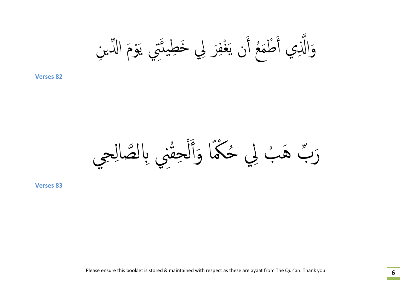وَȄ ا ҩ̽߱ ِن َْ ِتي ی َ َر ِلي َخِطی˃ ِ غف ْ َ َȅ ی ع أ ُ َ َ ْطم ҧِي أ **82 Verses** َوا߳

֧֖֧֚֝<u>֚</u><br>֧֚֝ رَبّ هَبْ لِي حُكْمًا وَأَلْحِقْنِي بِالصَّالِحِي ا<br>ا ֖֧֦֧֦֧֖֧֦֧֧ׅ֖֧֦֧֦֧֦֧֦֧֝֟֟֟֟֟֟֟֟֟֟֟֟֟֟֟֟֬֟֓֕֬֟֩֕֓֝֟֟֩֕֝֟֟֩֕֝֟֟֩֕֝֬֜֝֬<br>֧֧֧֧֖֚֚֝֝֟֩֩֝֟֩֩ ҩ َ **ׇ֖֡**<br>֧֚֚֝ <u>ل</u><br>ا  $\overline{a}$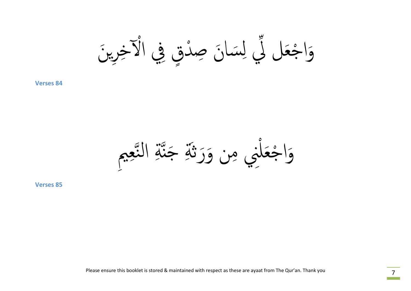وَاجْعَل لِّي لِسَانَ صِدْقٍ فِي الْآخِرِينَ ِّ بِ  $\frac{1}{2}$ ا<br>ا ҩ  $\ddot{\phantom{a}}$ ֺ<u>֚</u>

 $\ddot{\phantom{a}}$ وَاجْعَلْنِي مِن وَرَثَةِ جَنَّةِ التَّعِيمِ ҧ َ ا<br>ا  $\ddot{\phantom{a}}$ **،**<br>ا

**Verses 85**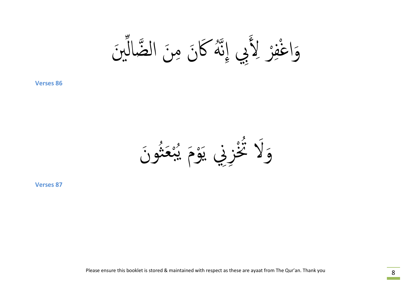وَاغْفِرْ لِأَبِي إِنَّهُ كَانَ مِنَ الضَّالِّينَ َ ҩ و<br>لم  $\ddot{\phantom{a}}$ ا<br>ا **\\_** ف ا<br>ا َ

نَمْزِنِي يَوْمَ يُبْعَثُونَ<br>خَزِنِي يَوْمَ يُبْعَثُونَ ِ<br>ا ُ بہ<br>بہ ُ<br>ا  $\overline{a}$ ہ<br>و  $\sum_{\lambda}^{\beta}$ ولا َ

**Verses 87**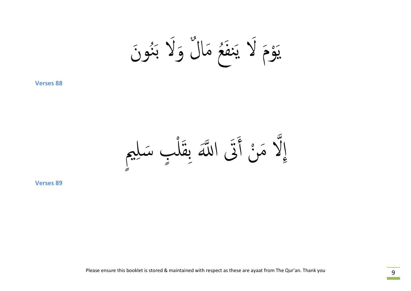$$
\tilde{\mathcal{A}} \in \tilde{\mathcal{X}}
$$
 يَنَعُ مَالَ وَلَا بَنُوِنَ

إِلَّا مَنْ أَتَى اللَّهَ بِقَلْبٍ سَلِيمٍ<br><sup>2</sup> ֚֝<br>֧֚֝<br>֚֚֚֝ ا<br>ا ֧֡֟֟֟֟֟֟֟֟֟֟֟֟֟֟֟֟֡֟֟֟֟֡֟֟֟֡֟<sup>֟</sup> َ ҧ  $\overline{a}$ ٍ ا<br>ا  $\int$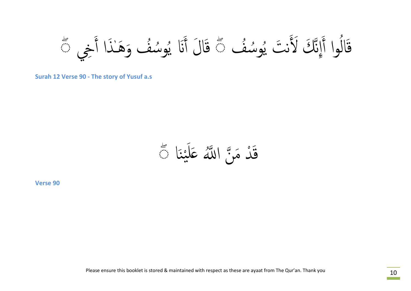قَالُوا أَإِنَّكَ لَأَنتَ يُوسُفُ دًّ قَالَ أَنَا يُوسُفُ وَهَـٰذَا أَخِي دًّ .<br>ا ُ ُ<br>ُأ ֧֧֚֚֝֝<br>֧֚֚֝<br>֚֚֝ ُ ِ<br>ا ُ ُ<br>ا ِ<br>ا ق

**Surah 12 Verse 90 - The story of Yusuf a.s**

َا ْن بہ<br>محمد ֖֚֚֚֚֚֝֝֝֝֝֝֝֝֝֝֝֬֝֝֝֝֟֟֟֝֬֝֝֬֝֟֟֝֟֟֟֟֟֜֟֓֝֬֝֟֓֟֬֝֟֓<br>֧֧֖֖֖֖֖֖֖֖֖֪֪ׅ֖֧֪֪ׅ֚֚֚֚֚֚֚֚֚֚֚֚֚֚֚֚֝֬֝֬֝֟֓֟֝֬ ِ<br>ا َدْ مَنَّ اللَّهُ عَلَيْنَا ﴾ ۖ ҧ  $\int$ ن<br>ق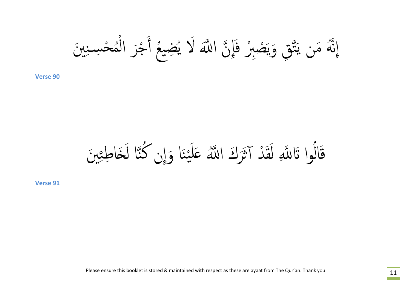ِ َين حس̑ ِ ن ْ م ُ ْ جَر ال ْ َ ع أ ُ ُ ِ́ی ȅ ا ҧَ ߹لاَ ی َِإ ҧ بر ف صِ ْ ْ َ ҧ ِق َوی َت ه َمن ی ُҧ ِإن

َا َو ْن ی َ َل َرَȂ ا ҧُ ߹̊ د آ˛َ ْ َ ق َ ِ ل وا َҧԵ߹ ُ َ َين ال ِ ق َ َ˯ا ِطئ ҧا ل ن ُ ِإȅ ك

**Verse 91**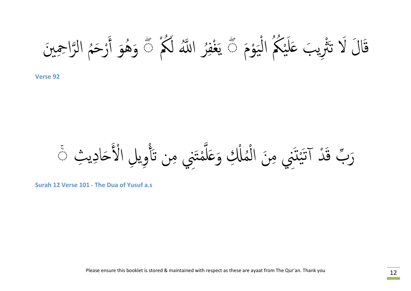قَالَ لَا تَتْرِيبَ عَلَيْكُمُ الْيَوْمَ ﴾ يَغْفِرُ اللَّهُ لَكُمْ ﴾ وَهُوَ أَرْحَمُ الرَّاحِينَ  $\overset{\circ}{\mathbf{9}}$ ی י<br>
.<br>. ا<br>ا یا<br>دیگر ֦֖֚֚֚֚֝֝֝֝֝֝<br>֧֚֚֚֝<br>֧֖֖֖֖֖֖֖֖֖֖֖֚֚֚֚֚֚֚֚֚֚֚֚֚֚֚֚֚֚֚֚֚֝֝֝֝֝<br>֧֪֝ ِ<br>ا ا<br>ا  $\overline{\phantom{a}}$ ۖ وَهُوَ أَرْحَمُ الرَّاحِيبنَ<br><sub>Verse 92</sub> ا<br>ا ً<br>ا ِ<br>ا

َرَبُّ قَدْ آتَيْتَنِي مِنَ الْمُلْكِ وَعَلَّمْتَنِي مِن تَأْوِيلِ الْأَحَادِيثِ ۞ ا<br>ا ҧ ِ<br>ا ْ ِّ بِهِ مَا ْ َ  $\ddot{\ddot{\lambda}}$  $\int$ ֧֧֟֟֟֟֟֟֟֟֟֟֟֟֟֟֟֟֟֟֟֟֟֟֟֬֟<sup>֟</sup>֪֟֟֟֟֝֬ ֧֘֒֝֟֝֟֟֟֟֟֟֟֟֟֟֟֜<sup>֓</sup>֪֪֪֪֪֪֓֝֬֝֬֟֟֝֬֝֬֝֬֝֬

**Surah 12 Verse 101 - The Dua of Yusuf a.s**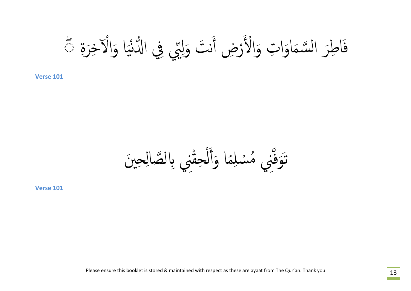຺<br>; َاطِرَ السَّمَاوَاتِ وَالْأَرْضِ أَنْتَ وَلِيِّي فِي الدُّنْيَا وَالْآخِرَةِ مَثَّ ی<br>یہ י<br>י ҩ  $\ddot{\phantom{a}}$ ِ<br>ا ا<br>ا ف

وَفَّنِي مُسْلِمًا وَأَلْحِقْنِي بِالصَّالِحِينَ **ׇ֖֡**<br>֖֖֖֖֖֖֚֚֚֚֚֚֚֚֚֝ .<br>ا ِ<br>|<br>| ا<br>ا ֖֚֚֞<br>֧֚֚֚֚֚֚֝֝֝֟֘֝֬֝֝֟<br>֧֖֪֪֖֖֖֖֖֖֚֚֚֚֚֚֚֚֝֝֝֟֝֝֝֝֝֝֟ .<br>نې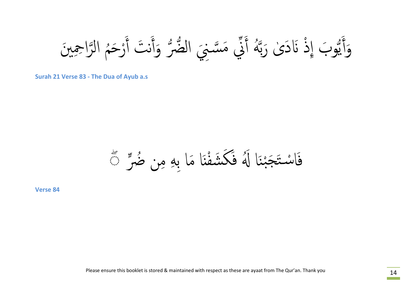ُ رَحم ْ َ ن َت أ َ ضرҨ َوأ ني َمس̑ ҧ ِ َني ال Ҩ ҩ َ ه أ ُҧ ى َرب ٰ ذ َԷَد ْ و َب ِإ Ҩ ی َ ِ َو َين أ را ِحم الҧ

**Surah 21 Verse 83 - The Dua of Ayub a.s**

َاسْتَجَبْنَا لَهُ فَكَشَفْنَا مَا بِهِ مِن ضُرٍّ ﴾ ُ ֧֖֧֧֖֧֖֧֖֧֪֪֟֟֟֓֟֟֟֟֓֟֓֟֓֝֟֓֟֟֟֓֟֓֝֬֟֓֟֓֝֬֟֓֟֬֟֩֓֝֬֟֓֟֩֓֟֟֩֓֟֟֩֬֝֬֝֬֝֬֝֬֝֬֝֬֟֓֝֬֝֬֝֬֝֬֝֬֝֬֝֬֝֟֝֬֝֟֝֬֝֬֝֟֝֬֝֟֝<br>֧֪֪֧֪֪֧֝֝֝֝֝֟ ْن ف

**Verse 84**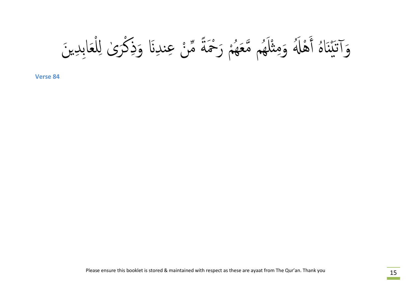وَاتَيْنَاهُ أَهْلَهُ وَمِثْلَهُم مَّعَهُمْ رَحْمَةً مِّنْ عِندِنَا وَذِكْرَىٰ لِلْعَابِدِينَ<br>Verse 84 ْ  $\int$ ٰ ْ ا<br>ا ֧֚֚<br>֧֚֝<br>֚֚֚֝ ِّ بِهِ الْمَسْتَقِيمِ بِهِ الْمُسْتَقِيمِ بِهِ الْمُسْتَقِيمِ بِهِ الْمُسْتَقِيمِ بِهِ الْمُسْتَقِيمِ بِهِ ال ِّ بِهِ الْمَسْتَقِيمِ بِهِ الْمُسْتَقِيمِ بِهِ الْمُسْتَقِيمِ بِهِ الْمُسْتَقِيمِ بِهِ الْمُسْتَقِيمِ بِهِ ال هَ ْل  $\sum_{i=1}^{n}$  $\frac{1}{2}$ ا<br>ا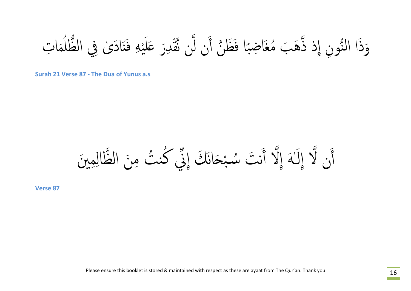وَذَا النُّونِ إِذْ ذَّهَبَ مُغَاضِبًا فَظَنَّ أَن لَّن نَّقْدِرَ عَلَيْهِ فَنَادَىٰ فِي الظُّلُمَاتِ ҧ Ҩ ِّ ِ ؚ<br>ا  $\tilde{\lambda}$ بہ<br>محمد ֧ׅ֧ׅ֧֧֪ׅ֧֪֪ׅ֧֪ׅ֧֪ׅ֧֧֧֚֝֝֝֝֝֝֟֟֟֟֟֟֟֟֓֝֬֝֝֟֟֟֟֟֟֜֬֝֬֝֟֓֝֬֟֟֟֟֟֟֜֓֜֓֝֬֝֬֝֬֝֓֝֬֓֝֬֓֝֬֝֬֓֝֬֝֬֝֬֝  $\int$  $\tilde{\zeta}$ ҧ ؚ<br>ؚ

**Surah 21 Verse 87 - The Dua of Yunus a.s**

ن لَّا إِلَـٰهَ إِلَّا أَنتَ سُبْحَانَكَ إِنِّي كُنتُ مِنَ الظَّالِمِينَ ֧֝֟֝֝֝֟֟֟֟֝֝֝֟֝֝֝֝֝֝֝֝֝֝֝֝֝֝<del>֟</del><br>֧֝֝֟ ا<br>م ٔ<br>ا ه<br>ب• ِ<br>ا َ أ

**Verse 87**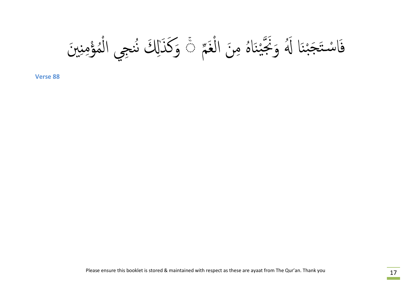֧֧ׅ֖֧ׅ֖֧֧֧ׅ֖֧֧ׅ֧֧֧֧֧֧֧֧֧֧֧֚֚֚֚֝֟֟֟֟֟֟֟֟֟֟֜֬֟֓֕֬֟֟֟֟֟֬֟֟֜֬֟֜֝֬֟֩֬֜֝֬֟֓֝֬֜֝֬֜֝֬֝֬֝֬֝֬֝֬֝֬֝֬֝֬֝֬֝֬֝֬ بَحْيْنَاهُ مِنَ الْغَمَّ ا<br>ا ْن  $\frac{1}{2}$ ҧ فَاسْتَجَبْنَا لَهُ وَنَجَّيْنَاهُ مِنَ الْغَمِّ ﴾ وَكَذَالِكَ نُنجي الْمُؤْمِنينَ ْن ֺ֧֝֟֟֟֟֟֟֟֟֟֟֟֟֟֟֟֟֟֟֟֟֜<br>֧֖֧֖֖֖֝֩֩֝֟֟֩֬֟֩֟֩֟֩֩֟֩֩֟֓<u>֟</u> ֖֧֖֧֖֧֪ׅ֖֧֖֖֧֖֧֖֧֖ׅ֖֖֖֖ׅ֧֪ׅ֧֚֡֟֟֟֟֟֟֟֟֟֟֟֟֟֟֟֓֕֬֟֩֕֓֝֟֟֩֕֓֝֟֟֩֕֝֟֟֓֝֬֝֟֓֝֬֝֬֝֟֩֬֝֬֝֬֝֬֝֬֝֬֝֬֝֬֝֬֝֬֝֬֝֬֝֬֝֟֝<br>֧֪֪֪֪֪֪֪֖֪֪֖֝֝֝֟֝**֟** ُ ֖֧֡֟֟֟֟֟֟֟֟֟֟֟֟֟֟֟֟֓<u>֟</u> ِّ ِ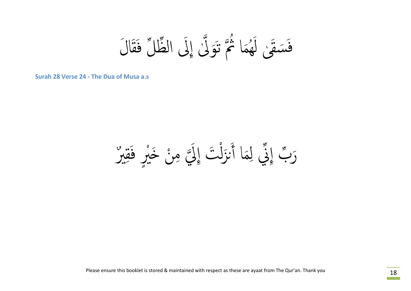سَقَىٰ لَهُمَا ثُمَّ تَوَلَّىٰ إِلَى الظَّلِّ فَقَالَ َق ҧ .<br>نې  $\ddot{\phantom{a}}$ ً<br>ُ ِّ بِهِ الْمَسْرِدِ بِهِ الْمُسْرِدِ بِهِ الْمُسْرِدِ بِهِ الْمُسْرِدِ بِهِ الْمُسْرِدِ بِهِ الْمُسْرِدِ بِهِ<br>مُسْرِدِ بِهِ الْمُسْرِدِ بِهِ الْمُسْرِدِ بِهِ الْمُسْرِدِ بِهِ الْمُسْرِدِ بِهِ الْمُسْرِدِ بِهِ الْمُسْرِدِ هَ ف

**Surah 28 Verse 24 - The Dua of Musa a.s**

رَبّ إِنّي لِمَا أَنزَلْتَ إِلَيَّ مِنْ خَبْرٍ فَقِبرٌ ُمْ : ف  $\frac{1}{2}$ ا<br>ا ҧ  $\ddot{\phantom{0}}$ ֧֟֟֟֟֟֟֟֟֟֟֟֟֟֟֟֬֟֟֜<sup>֟</sup>֓֝֟֜<sup>֟</sup>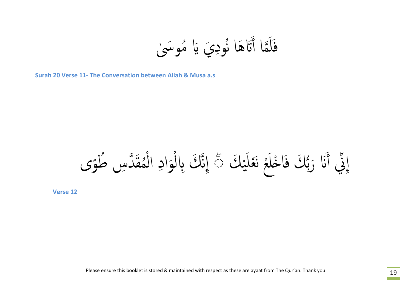ٰ ِّمَا أَتَاهَا نُودِيَ يَا مُوسَىٰ ُ  $\frac{1}{2}$  $\tilde{\mathcal{A}}$ ف

**Surah 20 Verse 11- The Conversation between Allah & Musa a.s**

Ҩ َԷ َرب َ ني أ ْ َك ِإ ҩ ی َ عل ع نَْ ْ ◌ ى َ ˭ل ۖ َا ْ و َك ف ُطً دِس ҧ َ مق ُ ْ ِ ال َواد ْ ҧ َك ِԴل ِإن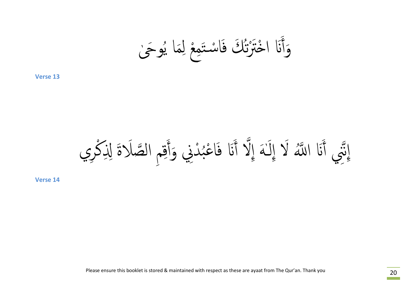ٰ و َݫ ُ َا ی ِم ع ل ْ َِم َاس̑ ْ ت ُ َك ف ت ˭َترْ َԷ ا ْ َ **13 Verse** َوأ

ِ ِم ق َ دِني َوأ ْ ُ عب َا ْ َԷ ف َ ҧ أ ǿٰ َه ِإلا َ َԷ ا ҧُ ߹لاَ ِإل َ ҧ ِري ِني أ ْ ِإن َلاَة ِ ِ߳ك ص ال ҧ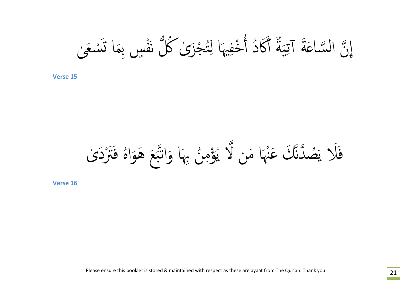ٰ سَعى ْ َا ˓َ ٍسِبم ف نَْ ُكلҨ ى ٰ جَز ْ ت ُ ِ َا ل ِيه خف ْ ُ د أ ََكاُ ٌ أ َة ِی ََة آت سا̊ ҧ ال ȅ ِإ ҧ

ى ٰ ََترْ َد ه ف ََع َهَواُ ب ҧ َا َوات ن ِبه ُ ِ ؤم ْ ُ ی ҧ َا َمن لا نه ْ ҧ َك َع دن ҧ ص َُ ََلا ی ف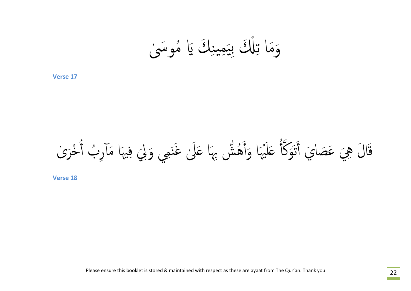ٰ موَسى ِ َك َԹ ُ ِمین َ ߶َ ِبی ْ ِ **17 Verse** َوَما <sup>ت</sup>

ҧ قَالَ هِيَ عَصَايَ أَتَوَكَّأُ عَلَيْهَا وَأَهُشٌّ بِهَا عَلَىٰ غَنَمِي وَلِيَ فِيهَا مَآرِبُ أُخْرَىٰ ر<br>نې ِ<br>ا ֦֧֖֧֟֟֟֟֟֟֟֟֟֟֟֓֝֬֝֓<u>֚</u> ُ<br>ا ؚ<br>ؚ **َ** ني<br>مخ ֧֖֧֟֟֟֟֟֟֟֟֟֟֟֟֟֟֟֟֟֟֟֟֟֟<sup>֟</sup>  $\sum_{i=1}^{k}$ ا<br>،<br>. ֚֚֚֝֝<br>֧֚֚֚֚֚֚֝֝֝<br>֧֖֖֚֚֚֚֚֚֚֚֝֝<u>֚</u> ِ<br>ا ُ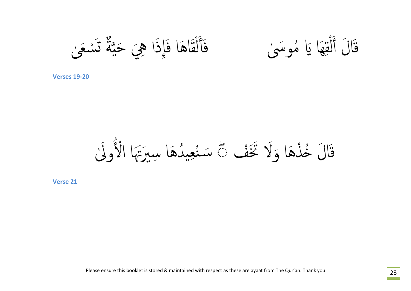قَالَ أَلْقِهَا يَا مُوسَىٰ مَعَالَقَاهَا فَإِذَا هِيَ حَيَّةٌ تَسْعَىٰ ا<br>ا ٌ ن<br>ه ا<br>ا ل  $\overline{a}$ نیم؟<br>ا ف

ا<br>ا َالَ أَلْقِهَا يَا مُوسَىٰ :<br>قطر ا<br>ا ل **َ** 

**Verses 19-20**

قَالَ خُذْهَا وَلَا تَخَفْ ١٠ سَنُعِيدُهَا سِيرَتِهَا الْأُولَىٰ  $\ddot{\bm s}$ ا<br>ا ِّ ِ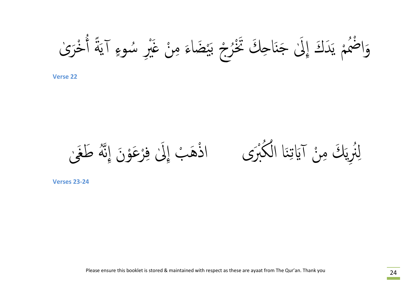وَاضْمُمْ يَدَكَ إِلَىٰ جَنَاحِكَ تَخْرُجْ بَيْضَاءَ مِنْ غَيْرِ سُوءٍ آيَةً أُخْرَىٰ ؚ<br>ۣ ا<br>المسابق<br>المسابق<br>المسابق<br>المسابق<br>المسابق<br>كالمسابق ٰ ا<br>ا ُ ֧֦֦֧֦֦֚֝֝֝<br>֧֚֝<br>֖֖֖֖֖֖֚֚֚֚֚֚֚֚֚֚֚֚֚֚֚֚֚֚֚֚֚֚֝֝֝֝֝֝֝֝֝֝ **َ**  $\frac{1}{2}$  $\frac{1}{2}$  $\frac{1}{2}$ י<br>י .<br>ا

لِنُرِيَكَ مِنْ آيَاتِنَا الْكُبْرَى ۚ اذْهَبْ إِلَىٰ فِرْعَوْنَ إِنَّهُ طَغَىٰ و<br>لم ا<br>ا **∶** ا<br>ا ا<br>ا ا

نُرِیَكَ مِنْ آیَاتِنَا الْكُبْرَى  $\begin{bmatrix} 0 \\ 1 \\ 1 \end{bmatrix}$ ِن

**Verses 23-24**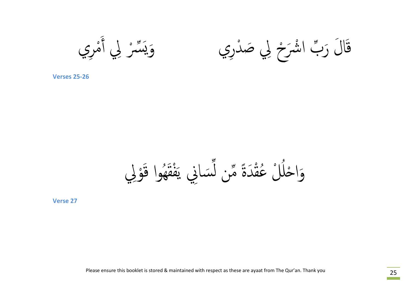قَالَ رَبِّ اشْرَحْ لِي صَدْرِي مَسْرِي وَيَبَسَّرْ لِي أَمْرِي ا<br>ا ҩ وَيَسَّرُ لِي أَ

**Verses 25-26**

وَاحْلُلْ عُقْدَةً مِّن لَّسَانِي يَفْقَهُوا قَوْلِي ҩ ً ْ ا<br>ا َ ِّ ِ ا<br>ا ֧֦֧֧֧֦֧֧֧ׅ֧֧֧ׅ֧֧֧֧֧֧֧֧֧֧֧֧֧֚֝֟֟֟֟֟֟֟֟֟֟֟֟֟֟֟֟֟֟֟֟֟֟֟֟֟֜֟֟֟֟֟֩֕֟֟֩֕֝֟֟֩֕֟֩֕֜֟֩֕֝֬֜֝֬֝֬֝֬֝֬֝֬֝֬֝֬֝֬֝֬֝֬֝֬<br>֧֧֧֧֪֧֧֪֝֩֝֟֝֟֝֟֩֝֟ ر<br>د

**Verse 27**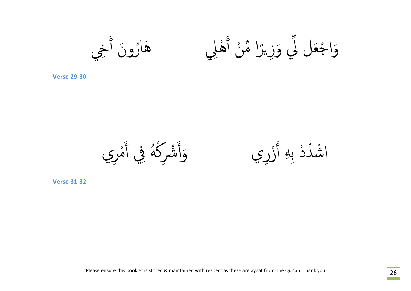وَاجْعَل لَّي وَزِيرًا مِّنْ أَهْلِي مَسْلَمُونَ أَخِي ҩ  $\sum_{i=1}^{n}$ ا<br>ا ֧֖֚֚֝֟֟֟֟֟֟֟֟֟<br>֧֚֚֝<br>֖֖֖֖֖֖֖֖֖֖֖֖֖֖֖֖֖֪֪֪֖֖֚֚֚֚֚֚֚֚֚֚֚֚֚֚֚֚֚֚֝֝֝֝֝֝֝֝֝֟֝֟֝֝֝֝֟֓֬֝֬֝֬֝֬֝֬֝֟֓֝֬֝֬֝֬֝֬ هَارُونَ أَ ٔ<br>ا

**Verse 29-30**

دْ بِهِ أَزْرِي وَأَشْرِكْهُ فِي أَمْرِي<br><sub>Verse 31-32</sub>  $\sum_{i=1}^{k}$ ْ ہے<br>نذ

اشْدُدْ بِهِ أَزْرِي حَمْلِهِ الْفُرَكَةُ فِي أَ ا<br>ا ا<br>ا ْ ؚ<br>ۣ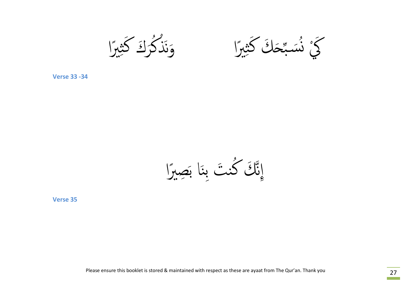وَنَذْكُرُكَ كَث<u>يبر</u>ًا<br>Verse 33 -34 اند<br>منظم منظم ٔ<br>ا ا<br>ا

كَنْ زَسَّجَكَ كَثِيرًا مَسَرًا وَنَذْكُرُكَ كَثِيرًا اند منظم الجمل<br>منظم المنظمة<br>المنظم المنظمة ٔ<br>ا

إِنَّكَ كُنتَ بِنَا بَصِبرًا ֧֚֝<br>֧֚֝<br>֚֚֝ ٔ<br>ا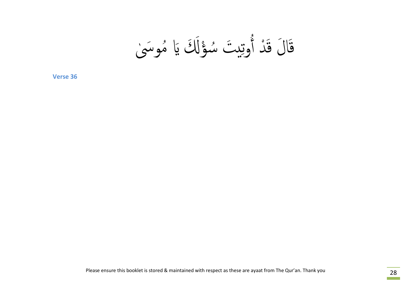ٰ موَسى َߵَ َԹ ُ ؤ ْ س ِ̿ َت ُ وت ُ د أ ْ َ َا َȃ ق ق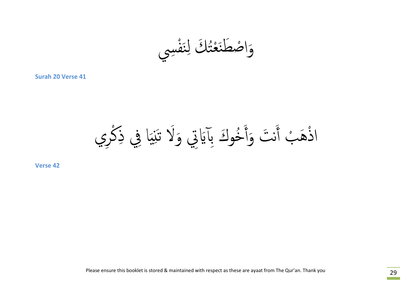ف ِسي ْ َ ِن ت َك ل ُ ع ْ َ ص َطن ْ واَ

**Surah 20 Verse 41**

ن َت َ ب أ ْ ذَه ْ ا ِري ْ ِك َا ِفي ذ ِ̀ خوَȂ ِبآَԹِتي َولاَ تَ̱ ُ َ **42 Verse** َوأ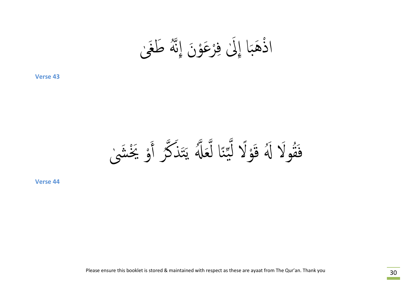ا<br>ا ذُهَبَا إِلَىٰ فِرْعَوْنَ إِنَّهُ طَغَىٰ و<br>لم ا<br>ا **∶** ا<br>ا ا

مُولَا لَهُ قَوْلًا لَّيِّنَا لَعَلَّهُ يَتَذَكَّرُ أَوْ يَخْشَىٰ ا<br>ا ֧֖֧֖֧֖֚֚֚֚֝֝֝<br>֧֖֧֖֖֖֖֖֚֚֚֚֚֚֚֚֚֚֚֚֚֝֝<br>֧<u>֚</u> ٔ<br>ا ו<br>ווי בין הוא הייתו بہ<br>من ر<br>د ו<br>ו ҧ ҩن ۔<br>یو<br>پو ו<br>ו ر<br>ا .<br>أ ا<br>ا ֧֪֧ׅ֚֚֝֝֝֟֟֟֟֟֟֟֟֟֟֟֟֟֟֟֟֟֟֟֟֟֟֟֟֟֟֟֝֬֟֜<br>֧֖֧֖֖֖֪֦֖֖֪֪֪֪֦֖֪֪֪֦֖֧֦֖֪֦֖֚֚֚֝֟֩֩֝֟֟֩֝֟֝֟֝֟֝֟ ِ<br>په ف

**Verse 44**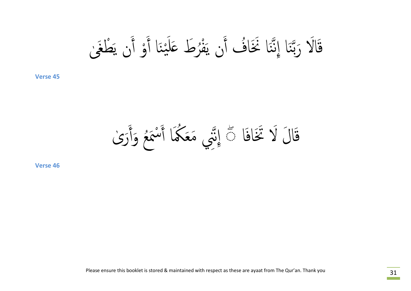ٰ َى َ ْطغ َȅ ی و أ ْ َ َا أ ْن ی َ َل رَط ̊ ُ ف ْ َ َȅ ی Ȁ أ َاُ َا َنخ ن ҧ َا ِإن ن ҧ ب َالاَ َر ق

َا َاف ى ا َȃ لاَ َتخ ٰ ҧ ◌ ِإن ۖ َ َر ق َ ع َوأ َُ سم ْ َ َا أ ُكم **46 Verse** ِني َمَع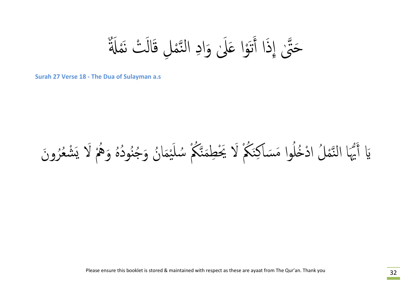ِ وَادِ النَّمْلِ قَالَتْ نَمْلَةٌ ا<br>ا ҧ حَتَّىٰ إِذَا أَتَوْا عَلَىٰ ا<br>ا ِ<br>نَزْ ً<br>֧֚֚<br>֖֖֖֖֖֚֚֚֚֚֝<u>֚</u> ֧֧֧֧֧֧֧֝֟֟֟֓֟֘֩֕֓֝֬֝֓֝֬֝֓֬֝֬֝֓֬֝֬֝֬֓֓֬֝֬֝֓֬֝֬֝֓֬֝֓֬֝֓֬֝֬֓֝֬֝֓֬֝֬֝֬֓֝֬֝֬֓֝֬֝֬֓֝֬֝֬֓֝֬֝֬<br>֧֪֧֧֧֖֖֖֖֖֚֚֚֚֚֚֚֚֚֚֝֩֝֝<br>֧֪֧֩

**Surah 27 Verse 18 - The Dua of Sulayman a.s**

### يَا أَيُّهَا النَّمْلُ ادْخُلُوا مَسَاكِنَكُمْ لَا يَخْطِمَنَّكُمْ سُلَيْمَانُ وَجُنُودُهُ وَهُمْ لَا يَشْعُرُونَ ُ<br>ُأ ُ<br>الماضي ُ ُ ُ ُ ا<br>ا ن<br>م^ َ ҧ َ ِ<br>پر ؚ<br>ُ .<br>ا ا<br>ا ҧ ี<br>สา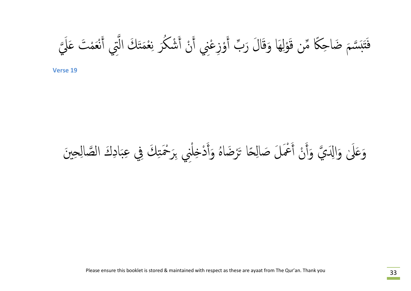ҧ َسْمَ ضَاحِكًا مِّن قَوْلِهَا وَقَالَ رَبِّ أَوْزِعْنِي أَنْ أَشْكُرَ نِعْمَتَكَ الَّتِي أَنْعَمْتَ عَلَيَّ .<br>ر ِ<br>ا ҧ ا<br>المسابق<br>المسابق<br>المسابق<br>المسابق<br>المسابق **∶** ๎๎  $\ddot{\ddot{\ddot{x}}}$ ا<br>ا **َ** ֧֧֖֧֧֧֧֖֧֖֧֦֧ׅ֖֧֧֧֧֧֧֧֧֧֧֧֚֡֟֟֟֟֟֟֟֟֟֟֟֟֟֟֓֕֝֟֟֟֓֟֩֕֓֟֩֓֟֟֓֟֩֓֝֬֟֩֓֝֟֩֬֝֓֝֬֜֝֬֝֬֝֬֝֬֝֬֝֬֝֬֝֬֝֬֝֬֝֬֝֬֝֬֝֬֝֬֝<br>֧֪֪֧֪֪֪֪֪֪֪֪֪֪֝֝֝**֟** ا<br>المسابق<br>المسابق<br>المسابق<br>المسابق **َ** ҩ ا<br>المسلمان<br>المسلمان<br>المسلمان **ّ**  $\tilde{\lambda}$  $\tilde{\mathbf{z}}$ ف

# وَعَلَىٰ وَالِدَيَّ وَأَنْ أَعْمَلَ صَالِحًا تَرْضَاهُ وَأَدْخِلْنِي بِرَحْمَتِكَ فِي عِبَادِكَ الصَّالِحِينَ ا<br>ا ا<br>ا َ ه<br>( ا<br>ا **ا**<br>ا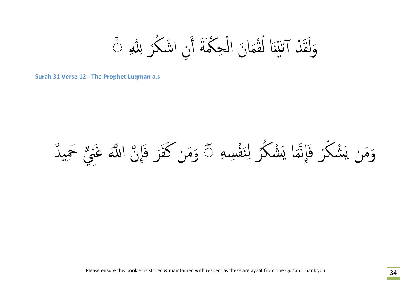وَلَقَدْ آتَيْنَا لُقْمَانَ الْحِكْمَةَ أَنِ اشْكُرْ لِلَّهِ ݣَ ا<br>ا ؚ<br>ۭ ا<br>ا  $\ddot{\hat{a}}$  $\frac{1}{2}$ ْ  $\int$ ن<br>ه ً<br>ا ۚ

**Surah 31 Verse 12 - The Prophet Luqman a.s**

**│** وَمَن يَشْكُرُ فَإِنَّمَا يَشْكُرُ لِنَفْسِهِ ۞ وَمَن كَفَرَ فَإِنَّ اللَّهَ غَنِيٌّ حَمِيدٌ  $\ddot{\bm s}$ ِن ؚ<br>ؚ ٔ<br>ا ו<br>ו ا<br>ا ٔ<br>ا ٌ ـ<br>ـ<br>ـ **َ**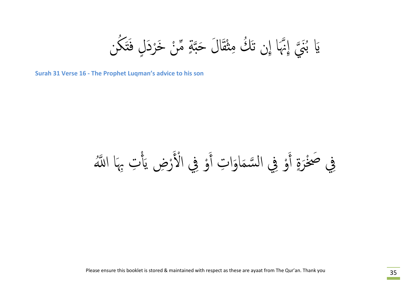َا ِإȅ تَ ُك نه ҧإِ ҧ َُني ُ َԹ ن ب َك ˗َ ȃ ف ٍ رَد ْ ن َخ ْ م ҩ ٍ ҧة َا َȃ َحˍ ْق ˞ِ م

**Surah 31 Verse 16 - The Prophet Luqman's advice to his son**

َا ا ҧُ߹ ْ ِت ِبه َأ رِض ی ْ و ِفي الأْ َ ْ َ َاَوا ِت أ سم و ِفي ال ҧ ْ َ أ ٍ َْرة ِفي َصخ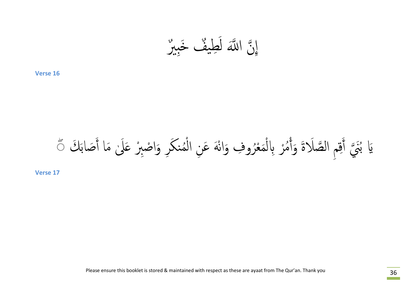$$
\bigcup_{i=1}^{\infty} \bigcup_{i=1}^{\infty} \bigcup_{i=1}^{\infty} \bigcup_{i=1}^{\infty} \bigcup_{i=1}^{\infty} \bigcup_{i=1}^{\infty} \bigcup_{i=1}^{\infty} \bigcup_{i=1}^{\infty} \bigcup_{i=1}^{\infty} \bigcup_{i=1}^{\infty} \bigcup_{i=1}^{\infty} \bigcap_{i=1}^{\infty} \bigcap_{i=1}^{\infty} \bigcap_{i=1}^{\infty} \bigcap_{i=1}^{\infty} \bigcap_{i=1}^{\infty} \bigcap_{i=1}^{\infty} \bigcap_{i=1}^{\infty} \bigcap_{i=1}^{\infty} \bigcap_{i=1}^{\infty} \bigcap_{i=1}^{\infty} \bigcap_{i=1}^{\infty} \bigcap_{i=1}^{\infty} \bigcap_{i=1}^{\infty} \bigcap_{i=1}^{\infty} \bigcap_{i=1}^{\infty} \bigcap_{i=1}^{\infty} \bigcap_{i=1}^{\infty} \bigcap_{i=1}^{\infty} \bigcap_{i=1}^{\infty} \bigcap_{i=1}^{\infty} \bigcap_{i=1}^{\infty} \bigcap_{i=1}^{\infty} \bigcap_{i=1}^{\infty} \bigcap_{i=1}^{\infty} \bigcap_{i=1}^{\infty} \bigcap_{i=1}^{\infty} \bigcap_{i=1}^{\infty} \bigcap_{i=1}^{\infty} \bigcap_{i=1}^{\infty} \bigcap_{i=1}^{\infty} \bigcap_{i=1}^{\infty} \bigcap_{i=1}^{\infty} \bigcap_{i=1}^{\infty} \bigcap_{i=1}^{\infty} \bigcap_{i=1}^{\infty} \bigcap_{i=1}^{\infty} \bigcap_{i=1}^{\infty} \bigcap_{i=1}^{\infty} \bigcap_{i=1}^{\infty} \bigcap_{i=1}^{\infty} \bigcap_{i=1}^{\infty} \bigcap_{i=1}^{\infty} \bigcap_{i=1}^{\infty} \bigcap_{i=1}^{\infty} \bigcap_{i=1}^{\infty} \bigcap_{i=1}^{\infty} \bigcap_{i=1}^{\infty} \bigcap_{i=
$$

ر ْ م ُ ْ َلاَة َوأ ص ِ ال ҧ ِم ق َ ҧ أ َُني َ َك َԹ ب َصاب َ ٰ َما أ َ َلى بر ̊ صِ ْ َ ِر َوا ْ منك ُ ْ َْه َعِن ال رو ِȀ َوان ُ ع ْ َ م ْ ◌ ِԴل ۖ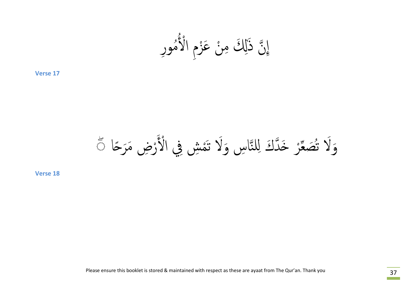ȅ َذ ҧ موِر ِ الأْ ُ ِإ ٰ ُ زȄ ْ ن َع ْ ِ ِ َߵ م

˨ا ً رِض َمَر ْ ْ ِش ِفي الأْ َ ҧاِس َولاَ تَم ِلن دَȂ ̥ ҧ ر َ˭ ْ ع ҩ ُ َص ◌ َولاَ ت ۖ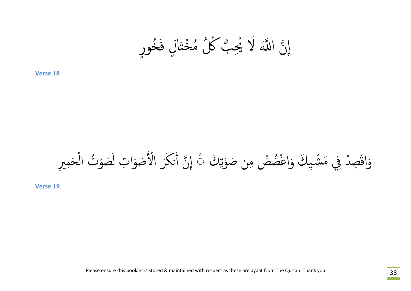إِنَّ اللَّهَ لَا يُجِبُّ كُلَّ مُخْتَالٍ فَخُورٍ  $\frac{1}{2}$ **∶** َا ֧֧֝֟֟֟֟֟֟֟֟֟֟֟֟֟֟֓֟֓֟֟֟֟֓֟֟֟֓֟<u>֟</u>

### وَاقْصِدْ فِي مَشْيِكَ وَاغْضُضْ مِن صَوْتِكَ ﴾ إِنَّ أَنكَرَ الْأَصْوَاتِ لَصَوْتُ الْحَمِيرِ ا<br>ا ا<br>ا ا<br>ا ا<br>المسابق<br>المسابق<br>المسابق<br>المسابق ֪֪֪֝֟֟֟֟֟֟֟֟֟֟֟֟֟֟֟֟֟֟֟֟֟֟֟֝<sup>֟</sup>֪֪֪֟֟֟֟֟ ً<br>ُ ا<br>ا َ ْ  $\ddot{\phantom{0}}$  $\ddot{\phantom{a}}$

**Verse 19**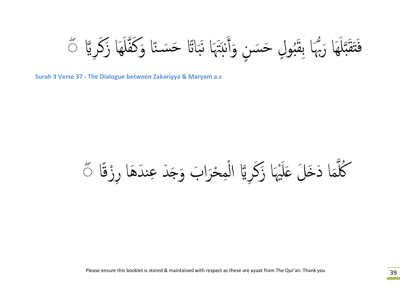نَقْبَلَهَا رَبُّهَا بِقَبُولٍ حَسَنٍ وَأَنبَتَهَا نَبَاتًا حَسَنًا وَكَفَّلَهَا زَكَرِيًّا ﴾ ֧֖֧֖֖֚֚֚֚֚֚֝֝֝<br>֧֚֚֝<br>֧֖֖֖֚֚֚֚֚֚֚֝<u>֚</u> ҧل ِسَة<br>موج ِ<br>ا **∶** ُ ِو<br>▲ Ҩ ֧֝֟֟֟֟֟֟֟֟֟֟֟֟֟֟֟֓֟֟֟֟֟֟֟֟֟֟֓֟<sup>֟</sup> .<br>ا ˍَ ِ<br>م ف

**Surah 3 Verse 37 - The Dialogue between Zakariyya & Maryam a.s**

 $\overline{\mathcal{L}}$ كُلُّمَا دَخَلَ عَلَيْهَا زَكَرِيَّا الْمِحْرَابَ وَجَدَ عِندَهَا رِزْقًا ﴾ ҧ ا<br>ا ْ ا<br>ا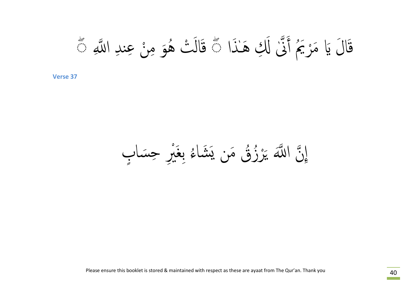قَالَ يَا مَرْيَمُ أَنَّىٰ لَكِ هَـٰذَا ﴾ قَالَتْ هُوَ مِنْ عِندِ اللَّهِ ﴾ ا<br>ا ا<br>الماضي ق

إِنَّ اللَّهَ يَرْزُقُ مَن يَشَاءُ بِغَيْرِ حِسَابٍ ٍ  $\lambda$   $\lambda$ ُ<br>ا ا<br>ا ه<br>(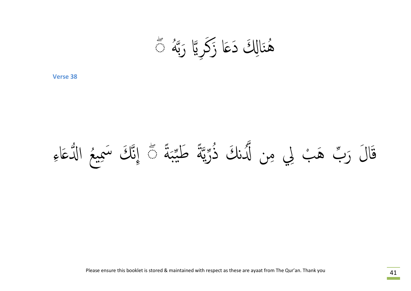هُنَالِكَ دَعَا زَكَرِيًّا رَبَّهُ مَتَّ و<br>**لم** ُ<br>ا

### قَالَ رَبٌّ هَبْ لِي مِن لَّدُنكَ ذُرِّيَّةً طَيِّبَةً مَّ إِنَّكَ سَمِيعُ الدُّعَاءِ ا<br>ا ֧֟֟֟֟֟֟֟֟֟֟֟֬֟֓֕֝֬֟֜<sup>֟</sup>֪֓֝֟֝֬ ً  $\overline{\phantom{a}}$ ا<br>بار<br>بار ҩ ً ҧ ҧ ֖֚֚֚<br>֚֚<br>֚֚֝<br>֚֝ ۔<br>ا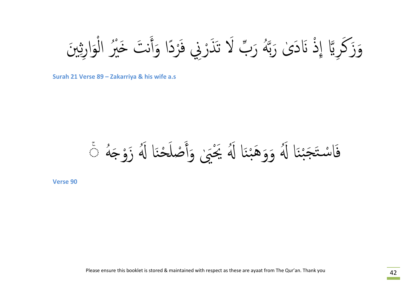وَزَكَرِيًّا إِذْ نَادَىٰ رَبَّهُ رَبِّ لَا تَذَرْنِي فَرْدًا وَأَنتَ خَيْرُ الْوَارِثِينَ ا<br>ا ا<br>ا **َ** ֧֚֚<br>֧֚֝<br>֧֚֝ ا<br>ا َ ا<br>ا ֧֝֟֟֟֟֟֟֟֟֟֟֟֜֜֕֜<sup>֟</sup>֓֝֟֟֜<sup>֟</sup> و<br>**لم** ٰ ا<br>ا

**Surah 21 Verse 89 – Zakarriya & his wife a.s**

فَاسْتَجَبْنَا لَهُ وَوَهَبْنَا لَهُ يَخْبَىٰ وَأَصْلَحْنَا لَهُ زَوْجَهُ ۞ ِّ بِهِ مَا ا<br>ا ا<br>ا ِ<br>ا ْن ْن ֧֘֒֝֟֝֟֟֟֟֟֟֜<sup>֓</sup>֪֪֖֓֝֟֟֟֬֝֝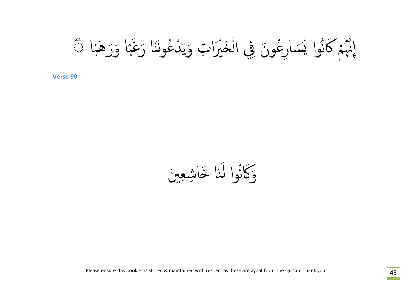ُ إِنَّهُمْ كَانُوا يُسَارِعُونَ فِي الْخَيْرَاتِ وَيَدْعُونَنَا رَغَبًا وَرَهَبًا ﴾ ُّ ِ َبِ<br>∙ِ بِصَبِ ِّ بِهِ مَا  $\int$ ا<br>ا ِّ بِهِ مَا ֦֧֘֝֟֟֟֟֟֟֟֟֟֝<br>֧֖֚֝֟֩֩<br>֖֖֖֖֚֚֚֚֚֝֝֟֬<u>֚</u>

وَكانُوا لَنَا خَاشِعِينَ ن<br>م َ ِّ ِ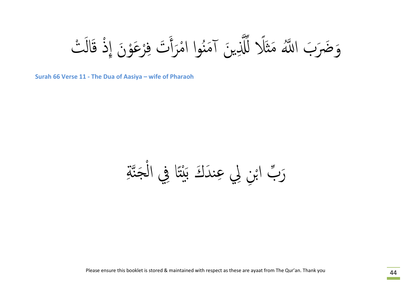وَضَرَبَ اللَّهُ مَثَلًا لِّلَّذِينَ آمَنُوا امْرَأَتَ فِرْعَوْنَ إِذْ قَالَتْ ا<br>ا ا<br>ا **∶** ُ ҧҩ .<br>ا

**Surah 66 Verse 11 - The Dua of Aasiya – wife of Pharaoh**

َرَبَّ ابْنِ لِي عِندَكَ بَيْتًا فِي الْجَنَّةِ ֧֧֟֟֟֟֟֟֟֟֟֟֟֟֟֟֟֟֟֟֟֟֟֟֟֟֬֟<sup>֟</sup> ˗ ا<br>ا ِهِ<br>مذا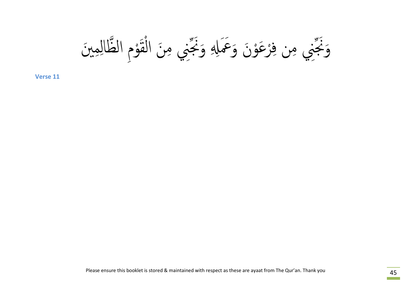ِِم َين ِ ال ҧظال وȄ ْ َ ق ْ ِ َن ال ِني م ҩ َنج ِ َو وَȅ َوََعمِࠁ رَعْ ْ ِ ِن ف ҩِني م َنج **11 Verse** َو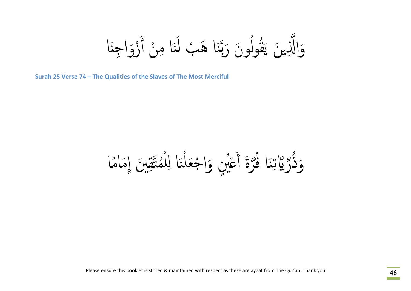َا وَالَّذِينَ يَقُولُونَ رَبَّنَا هَبْ لَنَا مِنْ أَزْوَاجِنَّ ا<br>ا َ ن<br>م ֺ֧֪֪֪ׅ֖֧֝֝֟֟֟֟֟֟֟֟֟֟֟֟֟֟֟֟֟֟֟֟֟֟֟֟֟֝֬֝֟<sup>֟</sup> ا<br>ا ن<br>م ҧ ُ ؚ<br>ؚ َ

**Surah 25 Verse 74 – The Qualities of the Slaves of The Most Merciful**

وَدُّرِّ يَّاتِنَا فُرَّةَ أَعْبُنِ وَاجْعَلْنَا لِلْمُتَّقِبنَ إِمَامًا نه:<br>ح ُ<br>ا ا<br>ا  $\int$ ن ا<br>ا ٔ<br>ا ֧֧֦֧֧֦֧֦֧֧֧֖֧֖֡֟֟֟֟֟֟֟֟֟֟֟֟֟֟֟֓֕֟֟֟֟֟֟֟֟֓֟֟֟֟֟֩֕֬֝֟֩֕֓֝֬֝֬֝֟֝֬֝֬֝֬֝֬֝֬֝֬֝֬֝֬֝֬֝֬֝֬֝֝֟֝֬֝֬֝֟֝֬֝֬֝֟ ِ<br>ا ҧ ؚ<br>ؚ ِنِيَ بِيَ بِيَ بِيَ بِيَا بِيَا بِيَا بِيَا بِيَا بِيَا بِيَا بِيَا بِيَا بِيَا بِيَا بِيَا بِيَا بِيَا بِيَا .<br>ا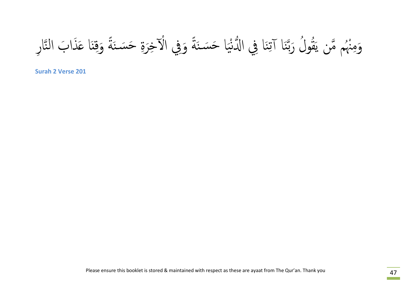وَمِنْهُم مَّن يَقُولُ رَبَّنَا آتِنَا فِي الدُّنْيَا حَسَنَةً وَفِي الْآخِرَةِ حَسَنَةً وَقِنَا عَذَابَ النَّارِ ة.<br>أم ة<br>أم ی<br>یکی ْ ِن ن<br>م ҧ ا<br>ا ֝֟֟֟֟֜֜*֟* ҧ ُ

**Surah 2 Verse 201**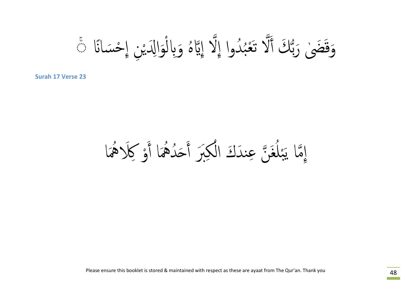وَقَضَىٰ رَبُّكَ أَلَّا تَعْبُدُوا إِلَّا إِبَّاهُ وَبِالْوَالِدَيْنِ إِحْسَانًا ﴾ ҧ ا<br>ا ۚ

**Surah 17 Verse 23**

َا إِمَّا يَبْلُغَنَّ عِندَكَ الْكِبَرَ أَحَدُهُمَا أَوْكِلاَهُمَّ ا<br>ا ا<br>ا ۔<br>المراد<br>المراد ٔ<br>ا ِّ بِهِ ا  $\int$  $\frac{1}{2}$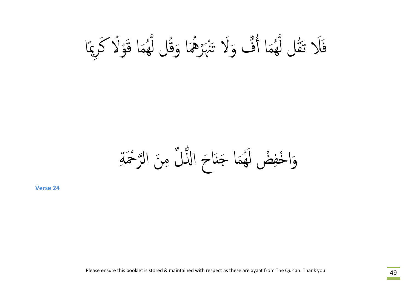ًا ُّ وَلَا تَنْهَرْهُمَا وَقُلْ لَهُمَا قَوْلًا كَرِيمً ا<br>ا  $\ddot{\phantom{0}}$ ِّ بِهِ الْمُسْتَقِينَةِ بِهِ الْمُسْتَقِينَةِ بِهِ الْمُسْتَقِينَةِ بِهِ الْمُسْتَقِينَةِ بِهِ الْ نمو<br>هم ا<br>الماضي<br>الماضي  $\int$  $\frac{1}{2}$ َا أ م قل ل ََلا تَُ ِّ ِ نه<br>هم ف

 $\overline{\phantom{a}}$ وَاخْفِضْ لَهُمَا جَنَاحَ النُّلُّ مِنَ الرَّحْمَةِ<br>verse 24 ِّ ِ هَ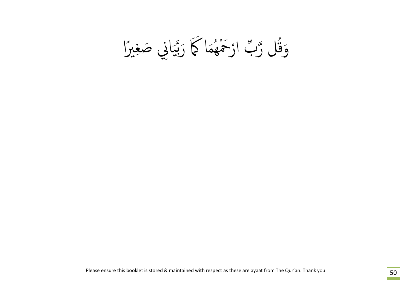وَقَل رَّبَّ ارْحَمْهُمَاكُمَا رَبَّبَانِي صَغِبرًا ِّ ِ ا<br>ا ҩ ش<br>مرگ ҧ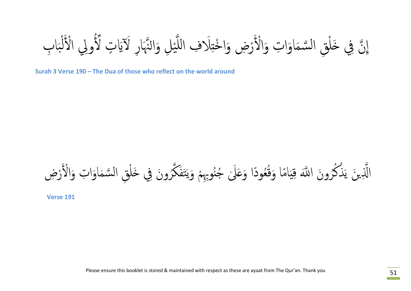إِنَّ فِي خَلْقِ السَّمَاوَاتِ وَالْأَرْضِ وَاخْتِلَافِ اللَّيْلِ وَالنَّهَارِ لَآيَاتٍ لِّأُولِي الْأَلْبَابِ بر<br>بہ ا<br>ا ل .<br>م^≎ ҧ ا<br>ا

**Surah 3 Verse 190 – The Dua of those who reflect on the world around**

الَّذِينَ يَذْكُرُونَ اللَّهَ قِيَامًا وَقُعُودًا وَعَلَىٰ جُنُوبِهِمْ وَيَتَفَكَّرُونَ فِي خَلْقِ السَّمَاوَاتِ وَالْأَرْضِ ُ ِ<br>ا ٔ<br>ا ҧ ینې<br>مخ ؚ<br>ؚ ُ ؚ<br>֧֪֝֟<u>֖</u> ֧֚֝<br>֧֚֝<br>֧֚֝ بو<br>پر ق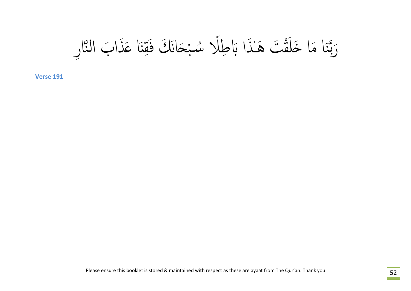ҧاِر َ َذا َب الن َا ̊ ِ̲ َق ْ َ˪انَ َك ف ب لا س̑ ُ ً ق َت َهǿٰ َذا َԴ ِط َْ َا َما َ˭ل ن ҧ **<sup>191</sup> Verse** َرب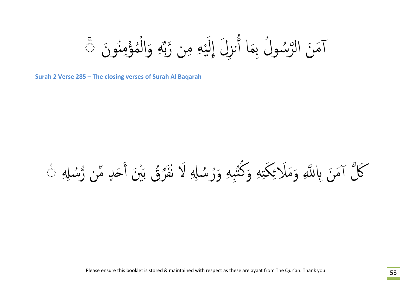ِّ مِن رَّبِّهِ وَالْمُؤْمِنُونَ ِّ ا ا<br>ا ُ ا<br>ا آمَنَ الرَّسُولُ بِمَا أُنزِلَ إِلَيْهِ مِن رَّبِّهِ وَالْمُؤْمِنُونَ ۞ بہ<br>مذہبہ ֖֧֦֦֦֚֚֚֚֝֝֝֝֬֝<br>֧֖֖֚֚֚֚֚֚֚֚֚֚֚֝֝֝<br>֧֪֪֖֖֖֖֖֖֖֖֖֖֚֚֚֚֚֚֚֚֚֚֚֚֚֚֚֝֝֝֝ ُ ُ ۚ

**Surah 2 Verse 285 – The closing verses of Surah Al Baqarah**

### $\overline{\phantom{a}}$ كُلُّ آمَنَ بِاللَّهِ وَمَلَائِكَتِهِ وَكُثْبِهِ وَرُسُلِهِ لَا نُفَرِّقُ بَيْنَ أَحَدٍ مِّن رُّسُلِهِ ۚ ُ ҩ  $\frac{1}{2}$ ا<br>ا َ ُ ٔ<br>ا ُّ أُ ٔ<br>ا  $\frac{1}{2}$ ֺ֧֧֦֧֦֧֝֟֟֟֟֟֟֟֟֟֟֟֟֓֕֝֬֟֟֩֕<u>֘</u>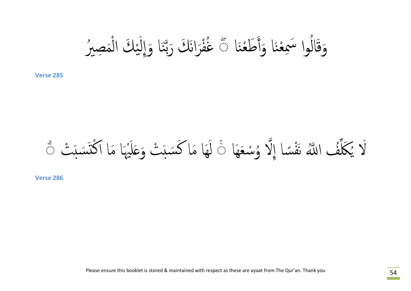َا وَقَالُوا سَمِعْنَا وَأَطَعْنَا ﴾ غُفْرَانَكَ رَبَّنَا وَإِلَيْكَ الْمَصِيرُ ؚ<br>ؚ ٔ<br>ا ا<br>ا بہ<br>مذہبہ ֦֖֚֚֚֚֚֝֝֝֝֝֝<br>֧֚֚֚֚֚֚֝֝֝֝֝<br>֧֖֖֖֖֖֖֖֖֚֚֚֚֚֚֚֚֚֚֚֚֚֚֚֚֝֝֝֝֝֝ ن<br>م ҧ  $\ddot{\bm s}$ 

## لَا يُكَلِّفُ اللَّهُ نَفْسًا إِلَّا وُسْعَهَا ۚ لَهَا مَا كَسَبَتْ وَعَلَيْهَا مَا اكْتَسَبَتْ ۚ ْ ҧ و<br>**ِه** ؚ<br>֧֪֖֧֟֟֟֟֟֟֟֟֟֟֟֟֟֟֟֟֟֟֟֟֟֟֟֟֟֩<sup>֟</sup>  $\tilde{\mathbf{z}}$ ا<br>المسابق<br>المسابق ا<br>ا ֚֚֚֝֝<br>֧֚֚֚֚֚֚֚֝֝֝֝<br>֧֖֚֚֚֚֚֚֚֝֝<u>֚</u> ِ<br>ا َ

**Verse 286**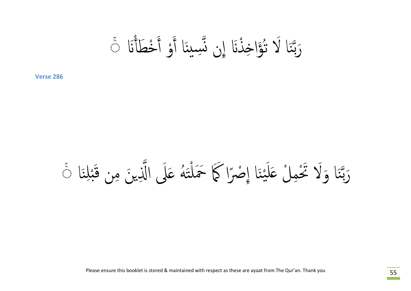رَبَّنَا لَا تُؤَاخِذْنَا إِن نَّسِينَا أَوْ أَخْطَأْنَا تَ ا<br>ا ا<br>ا ِ<br>ا ا<br>ا ن<br>م ҧ ׅ֘֒֒֝֟֜<u>֓</u><br>֧֪֪֪֖ׅ֪֝֝֟֘֩֝֬֟֝

َا ِن  $\sum$  $\frac{1}{2}$ رَبَّنَا وَلَا تَحْمِلْ عَلَيْنَا إِصْرًا كَمَا خَمَلْتَهُ عَلَى الَّذِينَ مِن قَبْلِنَا ۚ و<br>ک ت<br>من ا<br>ا ْن بہ<br>محمد ់<br>៖ ِ<br>ا ن<br>م ҧ ֚֚֘֒<br>֧֚֚֝<br>֖֖֖֖֖֖֖֖֖֚֚֚֚֚֚֚֚֚֝֝֝֝֝֝֝֝֝֟֟֟֬֝֬֝֬֝֬֝֬֝֬֝֬֝֬<br>֧֖֖֖֖֖֖֖֖֪֖֪֚֚֚֚֚֚֚֝֟֝֬֝֟֝֬֝֬֝֟֝֟֝֟֝֟֝֟֝֬֝֬֝֬֝֬֝֬֝֬֝֟֝֬֝֬֝֬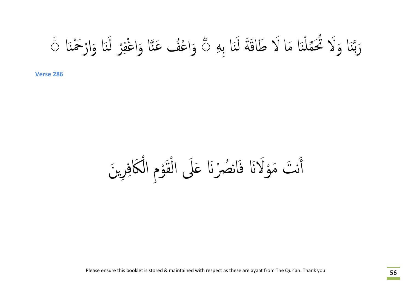**∶** رَبَّنَا وَلَا نُحَمَّلْنَا مَا لَا طَاقَةَ لَنَا بِهِ ۞ وَاعْفُ عَنَّا وَاغْفِرْ لَنَا وَارْخَمْنَا ۞ ن<br>مخ َ ن ا<br>ا  $\check{l}$ ن<br>م ҧ ا<br>ا ن<br>مخ َ ا<br>ا **∶** ف ا<br>ا .<br>الماضي ؚ<br>֧֪֖֖֟֩֟֓֟֬֟֟֩֟֓֟֩֩֓֟֘֩֩֩֟֓<u>֓</u><br>֧֪֖

<u>َكَافِرِينَ</u> نتَ مَوْلَانَا فَانصُرْنَا عَلَى الْقَوْمِ الْأ ا<br>ا ֚֚֝<br>֧֚֝<br>֚֚֚֝ ن<br>ه ا<br>ا ِّ ِ ا<br>ا ֚֚֝<br>֧֖֚֚֚֚֚֝֝<br>֧<u>֚</u> أ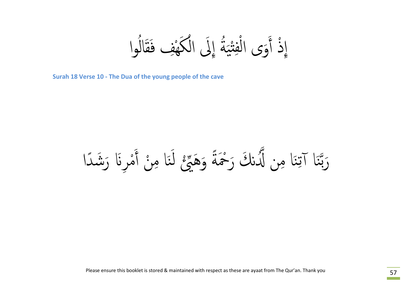ذُ أَوَى الْفِتْبَةُ إِلَى الْكَهْفِ فَقَالُوا ٔ<br>ا َق َه ֖֧֖֧֖֧֖֧֖֧֖֖֖֪ׅ֧֡֟֟֟֟֟֟֟֟֟֟֟֟֟֟֓֕֝֟֟֩֕֓֟֟֩֕֓֝֟֩֕֓֝֟֩֓֝֬֝֟֩֕֓֝֬֝֬֝֝֬֝֬֝֬֝֬֝֬֝֬֝֬֝֝֬֝֬֝֬֝֝֬֝֝֬֝֬֝֬֝֝֟֝֬֝֝<br>֧֪֧֪֪֪֪֪֪֪֪֪֪֪֪֖֝֝֝֝֝֝**֟**  $\overline{\phantom{a}}$ ف ا<br>ا **ا**<br>ا ْ ٍ إ<br>معر

**Surah 18 Verse 10 - The Dua of the young people of the cave**

رَبَّنَا آتِنَا مِن لَّدُنكَ رَحْمَةً وَهَجِّعْ لَنَا مِنْ أَمْرِنَا رَشَدًا ً ا<br>ا ِ<br>ا ن<br>مذہ **ِ** ֧֚֚֝<br>֧֚֝<br>֚֚֚ ҧ ِن ن<br>م ҧ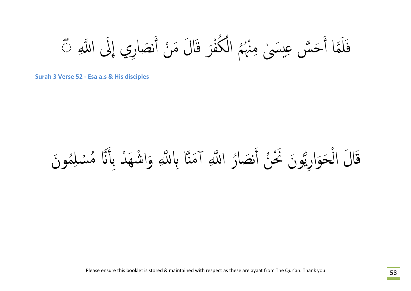$\overline{\phantom{a}}$ كُفْرَ قَالَ مَنْ أَنصَارِي إِلَى اللَّهِ ِ<br>ا ا<br>ا  $\ddot{\bm s}$ لَمَّا أَحَسَّ عِيسَىٰ مِنْهُم الْكُفْرَ قَالَ مَنْ أَنصَارِي إِلَى اللَّهِ مَّ ُ ا<br>ا ҧ ف

**Surah 3 Verse 52 - Esa a.s & His disciples**

# ҧا قَالَ الْحَوَارِيُّونَ نَحْنُ أَنصَارُ اللَّهِ آمَنَّا بِاللَّهِ وَاشْهَدْ بِأَنَّا مُسْلِمُونَ ٔ<br>ا ِ<br>ا ו<br>ו ै।<br>। **∶** ا<br>ا  $\overline{a}$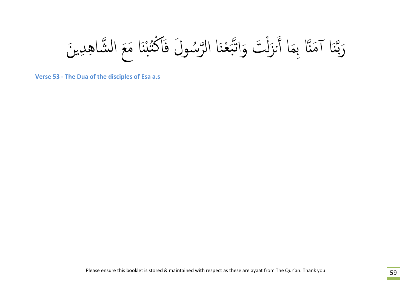رَبَّنَا آمَنَّا بِمَا أَنزَلْتَ وَاتَّبَعْنَا الرَّسُولَ فَاكْتُبْنَا مَعَ الشَّاهِدِينَ  $\frac{1}{2}$ ا<br>ا ؚ<br>ؚ<br>ؘ ا<br>الماد ُ  $\overset{\circ}{\mathbf{z}}$ ن<br>بر<br>ب ו<br>ו  $\ddot{\phantom{0}}$ ن<br>م ҧ

**Verse 53 - The Dua of the disciples of Esa a.s**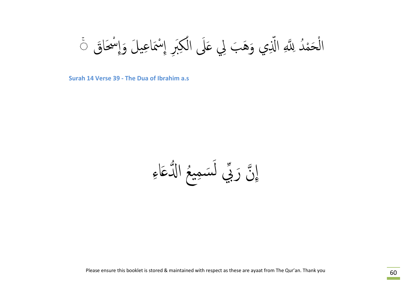ا<br>ا الْحَمْدُ لِلَّهِ الَّذِي وَهَبَ لِي عَلَى الْكِبَرِ إِسْمَاعِيلَ وَإِسْحَاقَ ۚ ِّ ِ ֧֧֖֧֖֧֖֧֖֧֡֟֟֟֟֟֟֟֟֟֟֟֟֟֟֓֕֝֟֟֟֓֝֬֟֩֓֝֟֩֕֓֝֟֟֓֝֬֝֟֩֕֓֝֬֝֬<br>֧֪֧֖֖֖֖֖֧֖֚֚֚֝֩֩֩֩֓֝֬֝֟֩֩ ا<br>ا ֚֘֒<br>֧֚֝<br>֖֖֖֖֖֖֚֚֚֚֚֚֚֚֚֝֝֝<br>֪֖֪֖֖֖֚֚֚֚֝֝֬֝֟֝֬֝֟<br>֖֚֝֝

**Surah 14 Verse 39 - The Dua of Ibrahim a.s**

ِ إِنَّ رَبِّي لَسَمِيعُ الدُّعَاءِ ۔<br>ا **ِ** ֧֖֧ׅ֧֧֧֧֧֧ׅ֧֚֚֚֚֚֚֚֚֚֚֚֚֚֚֝֝֝֝֝֝֬֟֓֝֬֝֬֝֬֝֟֓֝֬֟֜֜֝֬֝֬֝֬֟֓֝֬֜֝֬֜֜<br>֧֧֧֧֧֧֧֪ׅ֧֧֪ׅ֧֧֪ׅ֧֚֚֚֚֚֚֚֚֚֚֚֚֚֚֚֚֚֝֝֝֝֟֝֬֝֬֝֬֜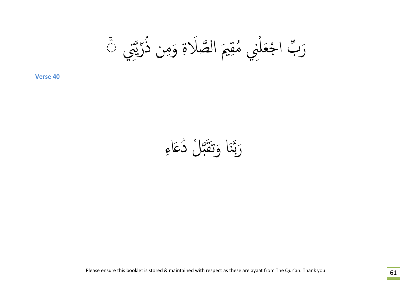َرَبَّ اجْعَلْنِي مُقِيمَ الصَّلَاةِ وَمِن ذُرِّيَّتِي مَ ُ ا<br>ا ֦֧<u>֓</u><br>֧֚֝ .<br>.<br>.

ِ رَبَّنَا وَتَقَبَّلْ دُعَاءِ ҧ ˍَ ن<br>م ҧ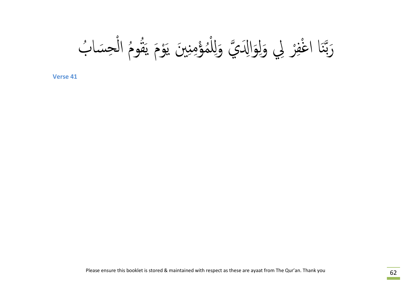ي َواَِ߱ҧ ِ ر ِلي َول ْ ِ ف ْ َا اغ ن ҧ ب َرب ْ ِحَسا ُ Ȅ ال ُ قو ُ َ وَȄ ی َْ ِ َين ی ِ̲ ؤم ْ م ُ ْ ِل **<sup>41</sup> Verse** َو̥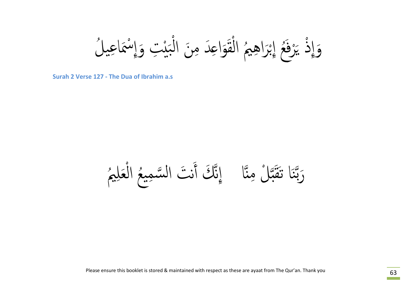وَإِذْ يَرْفَعُ إِبْرَاهِيمُ الْقَوَاعِدَ مِنَ الْبَيْتِ وَإِسْمَاعِيلُ ە<br>بار بد ا<br>ا ֚֚֝<br>֚֚֝<br>֖֖֖֖֖֚֚֚֚֚֚֚֚֚֚֚֚֚֚֚֚֚֝֝֝֝֝֝֝֝֝֝֝֝֝֝<br>֧֚֚֝֝֝<u>֚</u> ن<br>ه ا<br>ا .<br>ا ֧֦ׅ֧ׅ֚֚֝֝֝֟֟֟֟֟֟֟֟֟֟֟֜֜֝֬֟֟֟֟֟֟֟֟֟֟֟֟֟֬֝֟֜<br>֧ׅ֖֖֖֖֪֪֦֖֖֪֪ׅ֖֖֪֪֦֖֪֦֖֚֚֚֚֚֚֝֟֜֜֜֬֝֟֜֬֝֟֓֝֬֝֟֝֟֝֟֝֬֝֬ ه<br>( ֖֧֡֟֟֟֟֟֟֟֟֟֟֟֟֟֟֟֟֟֟֟֟֟֡֟֟֩֕<sup>֟</sup>

**Surah 2 Verse 127 - The Dua of Ibrahim a.s**

ҧا رَبَّنَا تَقَبَّلْ مِنَّا ﴾ إِنَّكَ أَنْتَ السَّمِيعُ الْعَلِيمُ ҧ ˍَ ن<br>م ҧ بر<br>ڊ ا<br>ا ً<br>ُ ֚֚֝<br>֧֚֚֝<br>֧֖֖֖֖֚֚֚֚֚֝<u>֚</u>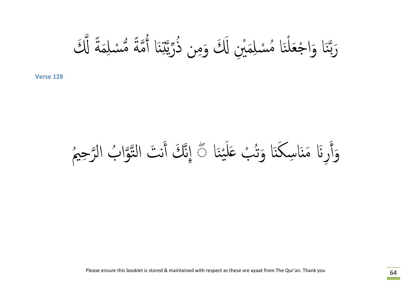َ ِم سل ْ م ة Ҩ ً م ҧ ُ َا أ ِ̲ ˖ҧ ری ذҩ ُ ِن َ ْ ِين َߵَ َوم ِم سل ْ م َا ُ ن ْ جَعل َا َوا ْ ن ҧ ߵَ َرب ҧ ة ً

َا ْن ی َ َل ب ̊ ْ ُ َا َوت ̲ َ َا ِسك ِرَԷ َم̲ َ ◌ َوأ ۖ يم ُ رِح ب الҧ وا ُ ҧҧ ن َت الت َ ҧ َك أ ِإن